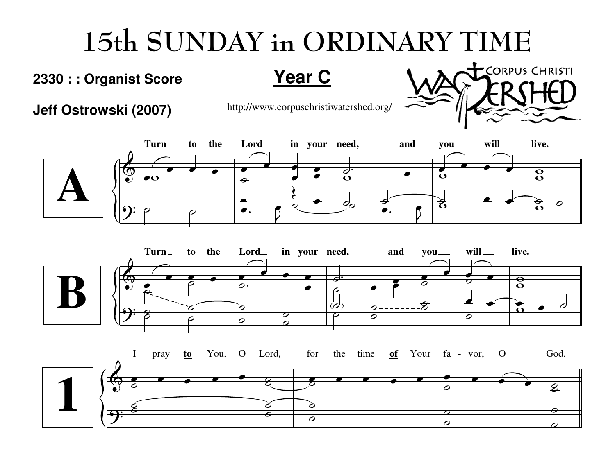## 15th SUNDAY in ORDINARY TIME

## **2330 : : Organist Score**

**Year C**

**Jeff Ostrowski (2007)**

http://www.corpuschristiwatershed.org/

CORPUS CHRISTI



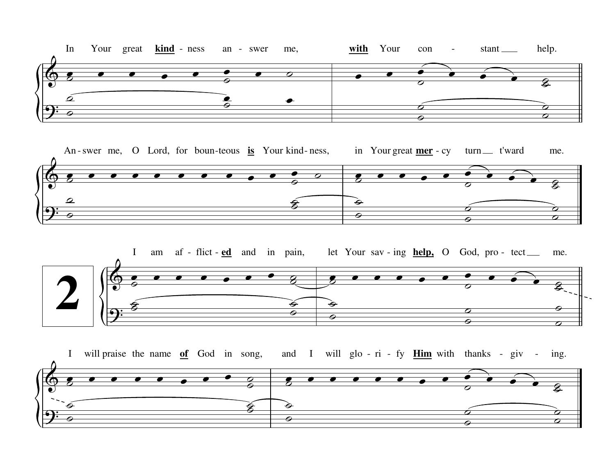